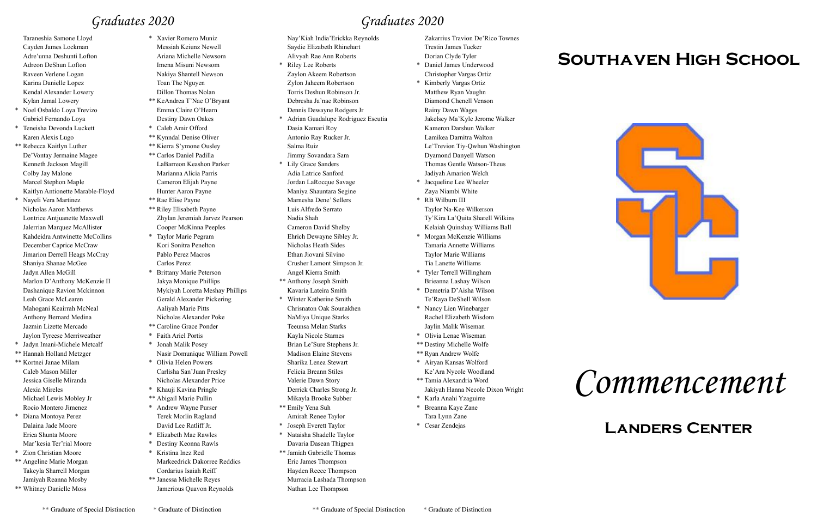# *Commencement*

#### **Landers Center**

### *Graduates 2020*

# **Southaven High School**



*Graduates 2020*

Taraneshia Samone Lloyd Cayden James Lockman Adre'unna Deshunti Lofton Adreon DeShun Lofton Raveen Verlene Logan Karina Danielle Lopez Kendal Alexander Lowery Kylan Jamal Lowery

- \* Noel Osbaldo Loya Trevizo Gabriel Fernando Loya
- \* Teneisha Devonda Luckett Karen Alexis Lugo
- \*\* Rebecca Kaitlyn Luther De'Vontay Jermaine Magee Kenneth Jackson Magill Colby Jay Malone Marcel Stephon Maple Kaitlyn Antionette Marable-Floyd
- \* Nayeli Vera Martinez Nicholas Aaron Matthews Lontrice Antjuanette Maxwell Jalerrian Marquez McAllister Kahdeidra Antwinette McCollins December Caprice McCraw Jimarion Derrell Heags McCray Shaniya Shanae McGee Jadyn Allen McGill Marlon D'Anthony McKenzie II Dashanique Ravion Mckinnon Leah Grace McLearen Mahogani Keairrah McNeal Anthony Bernard Medina Jazmin Lizette Mercado Jaylon Tyreese Merriweather
- \* Jadyn Imani-Michele Metcalf
- \*\* Hannah Holland Metzger
- \*\* Kortnei Janae Milam Caleb Mason Miller Jessica Giselle Miranda Alexia Mireles Michael Lewis Mobley Jr Rocio Montero Jimenez
- \* Diana Montoya Perez Dalaina Jade Moore Erica Shunta Moore Mar'kesia Ter'rial Moore
- \* Zion Christian Moore
- \*\* Angeline Marie Morgan Takeyla Sharrell Morgan Jamiyah Reanna Mosby
- \*\* Whitney Danielle Moss
- \* Xavier Romero Muniz Messiah Keiunz Newell Ariana Michelle Newsom Imena Misuni Newsom
	- Nakiya Shantell Newson Toan The Nguyen Dillon Thomas Nolan
- \*\* KeAndrea T'Nae O'Bryant Emma Claire O'Hearn Destiny Dawn Oakes
- \* Caleb Amir Offord
- \*\* Kynndal Denise Oliver
- \*\* Kierra S'ymone Ousley
- \*\* Carlos Daniel Padilla LaBarreon Keashon Parker Marianna Alicia Parris Cameron Elijah Payne Hunter Aaron Payne
- \*\* Rae Elise Payne
- \*\* Riley Elisabeth Payne Zhylan Jeremiah Jarvez Pearson Cooper McKinna Peeples
- \* Taylor Marie Pegram Kori Sonitra Penelton Pablo Perez Macros Carlos Perez
- \* Brittany Marie Peterson Jakya Monique Phillips Mykiyah Loretta Meshay Phillips Gerald Alexander Pickering Aaliyah Marie Pitts Nicholas Alexander Poke
- \*\* Caroline Grace Ponder
- \* Faith Ariel Portis
- \* Jonah Malik Posey Nasir Domunique William Powell
- \* Olivia Helen Powers Carlisha San'Juan Presley Nicholas Alexander Price
- \* Khauji Kavina Pringle
- \*\* Abigail Marie Pullin
- \* Andrew Wayne Purser Terek Morlin Ragland David Lee Ratliff Jr.
- \* Elizabeth Mae Rawles
- \* Destiny Keonna Rawls
- \* Kristina Inez Red Markeedrick Dakorree Reddics
- Cordarius Isaiah Reiff \*\* Janessa Michelle Reyes Jamerious Quavon Reynolds
- Nay'Kiah India'Erickka Reynolds Saydie Elizabeth Rhinehart Alivyah Rae Ann Roberts
- Riley Lee Roberts Zaylon Akeem Robertson Zylon Jaheem Robertson Torris Deshun Robinson Jr. Debresha Ja'nae Robinson Dennis Dewayne Rodgers Jr
- \* Adrian Guadalupe Rodriguez Escutia Dasia Kamari Roy Antonio Ray Rucker Jr. Salma Ruiz Jimmy Sovandara Sam
- \* Lily Grace Sanders Adia Latrice Sanford Jordan LaRocque Savage Maniya Shauntara Segine Marnesha Dene' Sellers Luis Alfredo Serrato Nadia Shah Cameron David Shelby Ehrich Dewayne Sibley Jr. Nicholas Heath Sides Ethan Jiovani Silvino Crusher Lamont Simpson Jr.
- Angel Kierra Smith \*\* Anthony Joseph Smith
- Kavaria Lateira Smith \* Winter Katherine Smith Chrisnaton Oak Sounakhen NaMiya Unique Starks Teeunsa Melan Starks Kayla Nicole Starnes Brian Le'Sure Stephens Jr. Madison Elaine Stevens Sharika Lenea Stewart Felicia Breann Stiles
- Valerie Dawn Story Derrick Charles Strong Jr.
- Mikayla Brooke Subber
- \*\* Emily Yena Suh Amirah Renee Taylor
- \* Joseph Everett Taylor \* Nataisha Shadelle Taylor
- Davaria Dasean Thigpen
- \*\* Jamiah Gabrielle Thomas Eric James Thompson Hayden Reece Thompson Murracia Lashada Thompson Nathan Lee Thompson

Zakarrius Travion De'Rico Townes Trestin James Tucker Dorian Clyde Tyler

\* Daniel James Underwood Christopher Vargas Ortiz

- \* Kimberly Vargas Ortiz Matthew Ryan Vaughn Diamond Chenell Venson Rainy Dawn Wages Jakelsey Ma'Kyle Jerome Walker Kameron Darshun Walker Lamikea Darnitra Walton Le'Trevion Tiy-Qwhun Washington Dyamond Danyell Watson Thomas Gentle Watson-Theus Jadiyah Amarion Welch
- \* Jacqueline Lee Wheeler Zaya Niambi White
- \* RB Wilburn III Taylor Na-Kee Wilkerson Ty'Kira La'Quita Sharell Wilkins Kelaiah Quinshay Williams Ball
- \* Morgan McKenzie Williams Tamaria Annette Williams Taylor Marie Williams Tia Lanette Williams
- \* Tyler Terrell Willingham Brieanna Lashay Wilson
- \* Demetria D'Aisha Wilson Te'Raya DeShell Wilson
- \* Nancy Lien Winebarger Rachel Elizabeth Wisdom Jaylin Malik Wiseman
- \* Olivia Lenae Wiseman
- \*\* Destiny Michelle Wolfe
- \*\* Ryan Andrew Wolfe
- \* Airyan Kansas Wolford Ke'Ara Nycole Woodland
- \*\* Tamia Alexandria Word Jakiyah Hanna Necole Dixon Wright
- \* Karla Anahi Yzaguirre
- \* Breanna Kaye Zane Tara Lynn Zane
- \* Cesar Zendejas